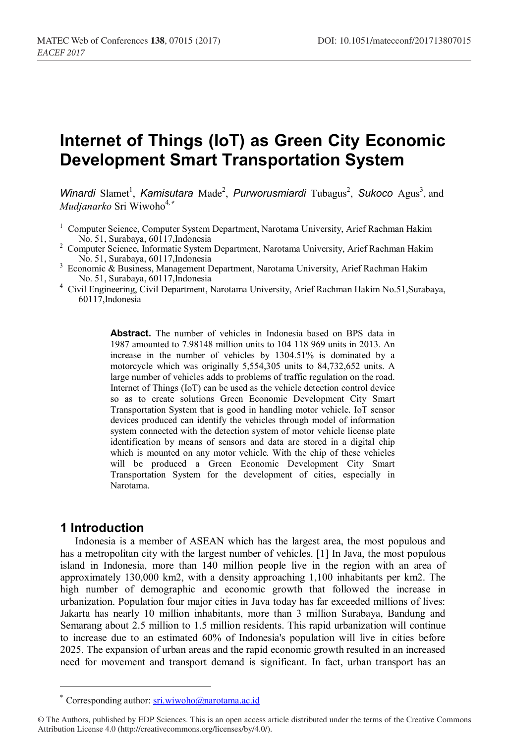# **Internet of Things (IoT) as Green City Economic Development Smart Transportation System**

Winardi Slamet<sup>1</sup>, Kamisutara Made<sup>2</sup>, Purworusmiardi Tubagus<sup>2</sup>, Sukoco Agus<sup>3</sup>, and *Mudianarko* Sri Wiwoho<sup>4,\*</sup>

- <sup>1</sup> Computer Science, Computer System Department, Narotama University, Arief Rachman Hakim No. 51, Surabaya, 60117, Indonesia
- <sup>2</sup> Computer Science, Informatic System Department, Narotama University, Arief Rachman Hakim<br>No. 51, Surabaya, 60117,Indonesia
- <sup>3</sup> Economic & Business, Management Department, Narotama University, Arief Rachman Hakim No. 51, Surabaya, 60117, Indonesia
- <sup>4</sup> Civil Engineering, Civil Department, Narotama University, Arief Rachman Hakim No.51, Surabaya, 60117,Indonesia

**Abstract.** The number of vehicles in Indonesia based on BPS data in 1987 amounted to 7.98148 million units to 104 118 969 units in 2013. An increase in the number of vehicles by 1304.51% is dominated by a motorcycle which was originally 5,554,305 units to 84,732,652 units. A large number of vehicles adds to problems of traffic regulation on the road. Internet of Things (IoT) can be used as the vehicle detection control device so as to create solutions Green Economic Development City Smart Transportation System that is good in handling motor vehicle. IoT sensor devices produced can identify the vehicles through model of information system connected with the detection system of motor vehicle license plate identification by means of sensors and data are stored in a digital chip which is mounted on any motor vehicle. With the chip of these vehicles will be produced a Green Economic Development City Smart Transportation System for the development of cities, especially in Narotama.

# **1 Introduction**

Indonesia is a member of ASEAN which has the largest area, the most populous and has a metropolitan city with the largest number of vehicles. [1] In Java, the most populous island in Indonesia, more than 140 million people live in the region with an area of approximately 130,000 km2, with a density approaching 1,100 inhabitants per km2. The high number of demographic and economic growth that followed the increase in urbanization. Population four major cities in Java today has far exceeded millions of lives: Jakarta has nearly 10 million inhabitants, more than 3 million Surabaya, Bandung and Semarang about 2.5 million to 1.5 million residents. This rapid urbanization will continue to increase due to an estimated 60% of Indonesia's population will live in cities before 2025. The expansion of urban areas and the rapid economic growth resulted in an increased need for movement and transport demand is significant. In fact, urban transport has an

Corresponding author: sri.wiwoho@narotama.ac.id

<sup>©</sup> The Authors, published by EDP Sciences. This is an open access article distributed under the terms of the Creative Commons Attribution License 4.0 (http://creativecommons.org/licenses/by/4.0/).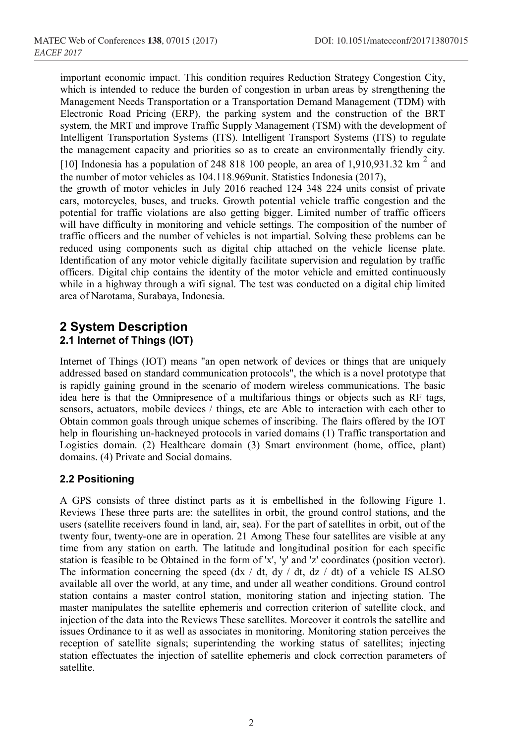important economic impact. This condition requires Reduction Strategy Congestion City, which is intended to reduce the burden of congestion in urban areas by strengthening the Management Needs Transportation or a Transportation Demand Management (TDM) with Electronic Road Pricing (ERP), the parking system and the construction of the BRT system, the MRT and improve Traffic Supply Management (TSM) with the development of Intelligent Transportation Systems (ITS). Intelligent Transport Systems (ITS) to regulate the management capacity and priorities so as to create an environmentally friendly city. [10] Indonesia has a population of 248 818 100 people, an area of 1,910,931.32 km<sup>2</sup> and the number of motor vehicles as 104.118.969unit. Statistics Indonesia (2017), the growth of motor vehicles in July 2016 reached 124 348 224 units consist of private cars, motorcycles, buses, and trucks. Growth potential vehicle traffic congestion and the potential for traffic violations are also getting bigger. Limited number of traffic officers will have difficulty in monitoring and vehicle settings. The composition of the number of traffic officers and the number of vehicles is not impartial. Solving these problems can be reduced using components such as digital chip attached on the vehicle license plate. Identification of any motor vehicle digitally facilitate supervision and regulation by traffic officers. Digital chip contains the identity of the motor vehicle and emitted continuously while in a highway through a wifi signal. The test was conducted on a digital chip limited area of Narotama, Surabaya, Indonesia.

# **2 System Description 2.1 Internet of Things (IOT)**

Internet of Things (IOT) means "an open network of devices or things that are uniquely addressed based on standard communication protocols", the which is a novel prototype that is rapidly gaining ground in the scenario of modern wireless communications. The basic idea here is that the Omnipresence of a multifarious things or objects such as RF tags, sensors, actuators, mobile devices / things, etc are Able to interaction with each other to Obtain common goals through unique schemes of inscribing. The flairs offered by the IOT help in flourishing un-hackneyed protocols in varied domains (1) Traffic transportation and Logistics domain. (2) Healthcare domain (3) Smart environment (home, office, plant) domains. (4) Private and Social domains.

# **2.2 Positioning**

A GPS consists of three distinct parts as it is embellished in the following Figure 1. Reviews These three parts are: the satellites in orbit, the ground control stations, and the users (satellite receivers found in land, air, sea). For the part of satellites in orbit, out of the twenty four, twenty-one are in operation. 21 Among These four satellites are visible at any time from any station on earth. The latitude and longitudinal position for each specific station is feasible to be Obtained in the form of 'x', 'y' and 'z' coordinates (position vector). The information concerning the speed  $(dx / dt, dy / dt, dz / dt)$  of a vehicle IS ALSO available all over the world, at any time, and under all weather conditions. Ground control station contains a master control station, monitoring station and injecting station. The master manipulates the satellite ephemeris and correction criterion of satellite clock, and injection of the data into the Reviews These satellites. Moreover it controls the satellite and issues Ordinance to it as well as associates in monitoring. Monitoring station perceives the reception of satellite signals; superintending the working status of satellites; injecting station effectuates the injection of satellite ephemeris and clock correction parameters of satellite.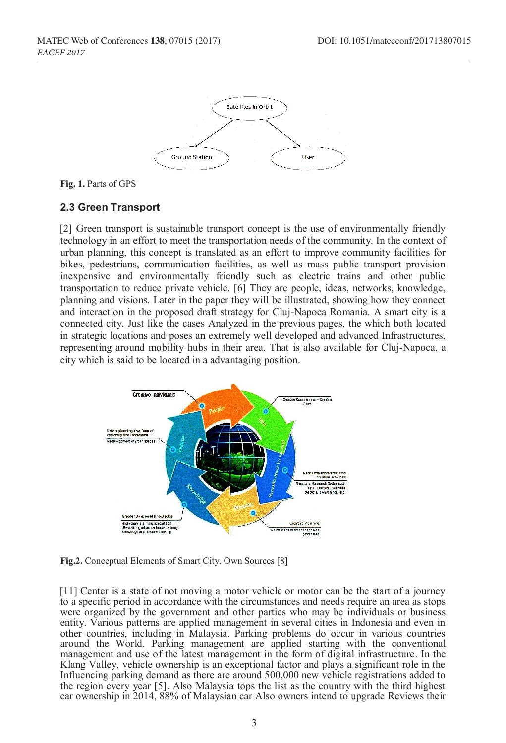

**Fig. 1.** Parts of GPS

### **2.3 Green Transport**

[2] Green transport is sustainable transport concept is the use of environmentally friendly technology in an effort to meet the transportation needs of the community. In the context of urban planning, this concept is translated as an effort to improve community facilities for bikes, pedestrians, communication facilities, as well as mass public transport provision inexpensive and environmentally friendly such as electric trains and other public transportation to reduce private vehicle. [6] They are people, ideas, networks, knowledge, planning and visions. Later in the paper they will be illustrated, showing how they connect and interaction in the proposed draft strategy for Cluj-Napoca Romania. A smart city is a connected city. Just like the cases Analyzed in the previous pages, the which both located in strategic locations and poses an extremely well developed and advanced Infrastructures, representing around mobility hubs in their area. That is also available for Cluj-Napoca, a city which is said to be located in a advantaging position.



**Fig.2.** Conceptual Elements of Smart City. Own Sources [8]

[11] Center is a state of not moving a motor vehicle or motor can be the start of a journey to a specific period in accordance with the circumstances and needs require an area as stops were organized by the government and other parties who may be individuals or business entity. Various patterns are applied management in several cities in Indonesia and even in other countries, including in Malaysia. Parking problems do occur in various countries around the World. Parking management are applied starting with the conventional management and use of the latest management in the form of digital infrastructure. In the Klang Valley, vehicle ownership is an exceptional factor and plays a significant role in the Influencing parking demand as there are around 500,000 new vehicle registrations added to the region every year [5]. Also Malaysia tops the list as the country with the third highest car ownership in 2014, 88% of Malaysian car Also owners intend to upgrade Reviews their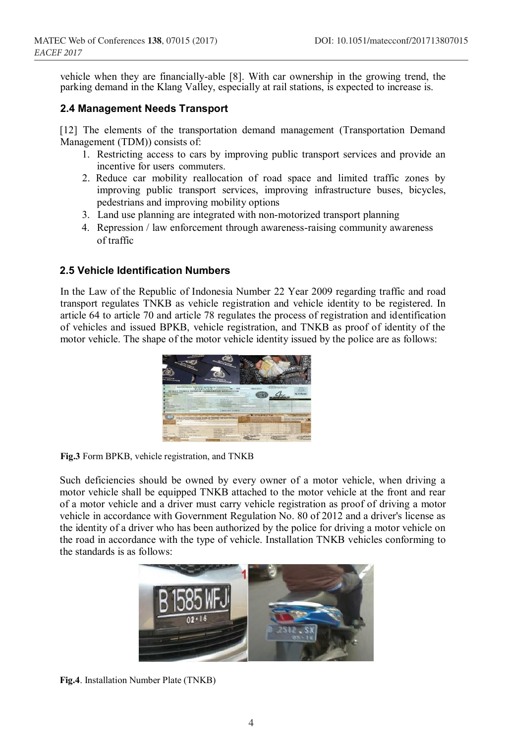vehicle when they are financially-able [8]. With car ownership in the growing trend, the parking demand in the Klang Valley, especially at rail stations, is expected to increase is.

### **2.4 Management Needs Transport**

[12] The elements of the transportation demand management (Transportation Demand Management (TDM)) consists of:

- 1. Restricting access to cars by improving public transport services and provide an incentive for users commuters.
- 2. Reduce car mobility reallocation of road space and limited traffic zones by improving public transport services, improving infrastructure buses, bicycles, pedestrians and improving mobility options
- 3. Land use planning are integrated with non-motorized transport planning
- 4. Repression / law enforcement through awareness-raising community awareness of traffic

### **2.5 Vehicle Identification Numbers**

In the Law of the Republic of Indonesia Number 22 Year 2009 regarding traffic and road transport regulates TNKB as vehicle registration and vehicle identity to be registered. In article 64 to article 70 and article 78 regulates the process of registration and identification of vehicles and issued BPKB, vehicle registration, and TNKB as proof of identity of the motor vehicle. The shape of the motor vehicle identity issued by the police are as follows:



**Fig.3** Form BPKB, vehicle registration, and TNKB

Such deficiencies should be owned by every owner of a motor vehicle, when driving a motor vehicle shall be equipped TNKB attached to the motor vehicle at the front and rear of a motor vehicle and a driver must carry vehicle registration as proof of driving a motor vehicle in accordance with Government Regulation No. 80 of 2012 and a driver's license as the identity of a driver who has been authorized by the police for driving a motor vehicle on the road in accordance with the type of vehicle. Installation TNKB vehicles conforming to the standards is as follows:



**Fig.4**. Installation Number Plate (TNKB)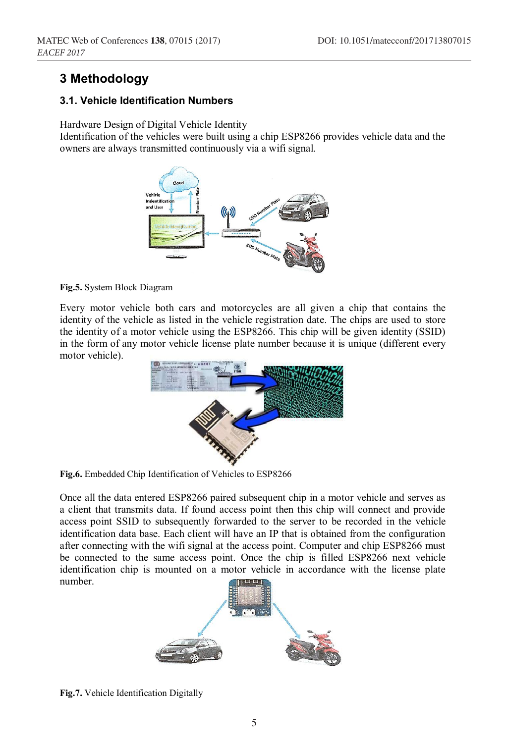# **3 Methodology**

### **3.1. Vehicle Identification Numbers**

Hardware Design of Digital Vehicle Identity

Identification of the vehicles were built using a chip ESP8266 provides vehicle data and the owners are always transmitted continuously via a wifi signal.



**Fig.5.** System Block Diagram

Every motor vehicle both cars and motorcycles are all given a chip that contains the identity of the vehicle as listed in the vehicle registration date. The chips are used to store the identity of a motor vehicle using the ESP8266. This chip will be given identity (SSID) in the form of any motor vehicle license plate number because it is unique (different every motor vehicle).



**Fig.6.** Embedded Chip Identification of Vehicles to ESP8266

Once all the data entered ESP8266 paired subsequent chip in a motor vehicle and serves as a client that transmits data. If found access point then this chip will connect and provide access point SSID to subsequently forwarded to the server to be recorded in the vehicle identification data base. Each client will have an IP that is obtained from the configuration after connecting with the wifi signal at the access point. Computer and chip ESP8266 must be connected to the same access point. Once the chip is filled ESP8266 next vehicle identification chip is mounted on a motor vehicle in accordance with the license plate number.



**Fig.7.** Vehicle Identification Digitally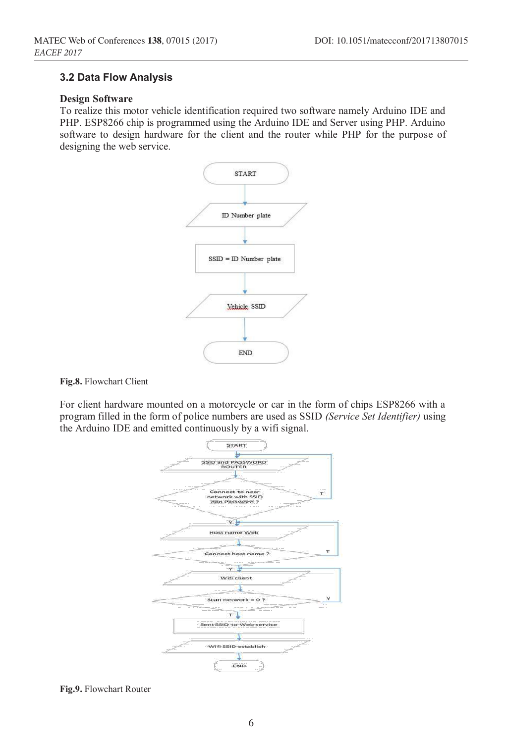#### **3.2 Data Flow Analysis**

#### **Design Software**

To realize this motor vehicle identification required two software namely Arduino IDE and PHP. ESP8266 chip is programmed using the Arduino IDE and Server using PHP. Arduino software to design hardware for the client and the router while PHP for the purpose of designing the web service.



**Fig.8.** Flowchart Client

For client hardware mounted on a motorcycle or car in the form of chips ESP8266 with a program filled in the form of police numbers are used as SSID *(Service Set Identifier)* using the Arduino IDE and emitted continuously by a wifi signal.



**Fig.9.** Flowchart Router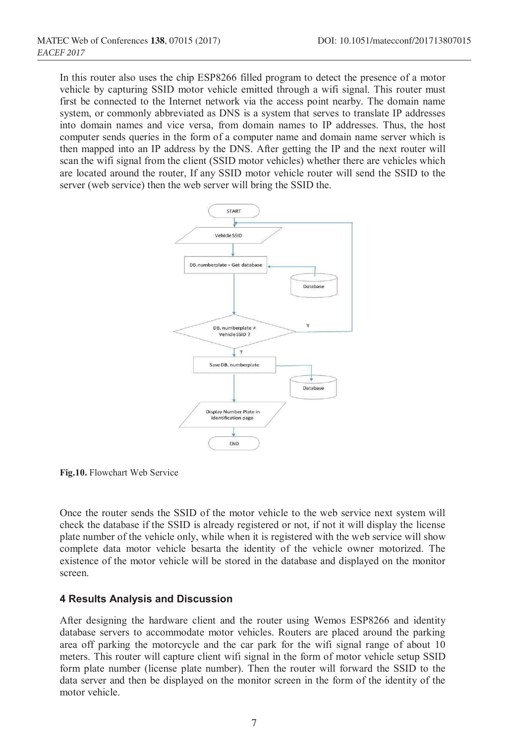In this router also uses the chip ESP8266 filled program to detect the presence of a motor vehicle by capturing SSID motor vehicle emitted through a wifi signal. This router must first be connected to the Internet network via the access point nearby. The domain name system, or commonly abbreviated as DNS is a system that serves to translate IP addresses into domain names and vice versa, from domain names to IP addresses. Thus, the host computer sends queries in the form of a computer name and domain name server which is then mapped into an IP address by the DNS. After getting the IP and the next router will scan the wifi signal from the client (SSID motor vehicles) whether there are vehicles which are located around the router, If any SSID motor vehicle router will send the SSID to the server (web service) then the web server will bring the SSID the.



**Fig.10.** Flowchart Web Service

Once the router sends the SSID of the motor vehicle to the web service next system will check the database if the SSID is already registered or not, if not it will display the license plate number of the vehicle only, while when it is registered with the web service will show complete data motor vehicle besarta the identity of the vehicle owner motorized. The existence of the motor vehicle will be stored in the database and displayed on the monitor screen.

### **4 Results Analysis and Discussion**

After designing the hardware client and the router using Wemos ESP8266 and identity database servers to accommodate motor vehicles. Routers are placed around the parking area off parking the motorcycle and the car park for the wifi signal range of about 10 meters. This router will capture client wifi signal in the form of motor vehicle setup SSID form plate number (license plate number). Then the router will forward the SSID to the data server and then be displayed on the monitor screen in the form of the identity of the motor vehicle.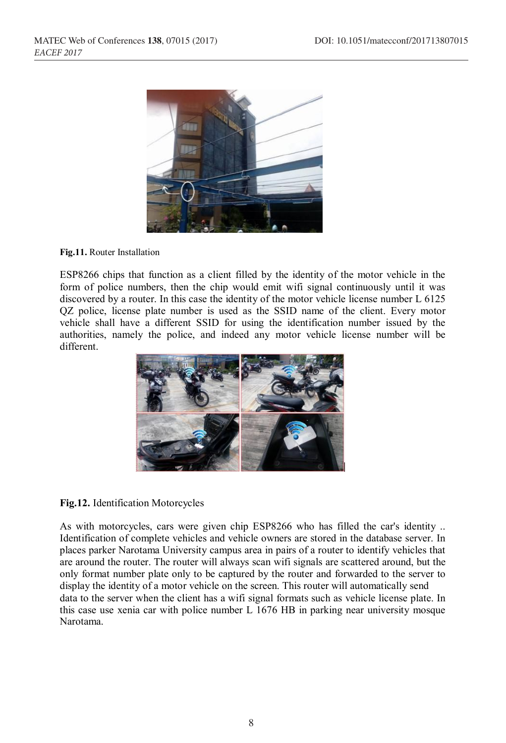

**Fig.11.** Router Installation

ESP8266 chips that function as a client filled by the identity of the motor vehicle in the form of police numbers, then the chip would emit wifi signal continuously until it was discovered by a router. In this case the identity of the motor vehicle license number L 6125 QZ police, license plate number is used as the SSID name of the client. Every motor vehicle shall have a different SSID for using the identification number issued by the authorities, namely the police, and indeed any motor vehicle license number will be different.



### **Fig.12.** Identification Motorcycles

As with motorcycles, cars were given chip ESP8266 who has filled the car's identity .. Identification of complete vehicles and vehicle owners are stored in the database server. In places parker Narotama University campus area in pairs of a router to identify vehicles that are around the router. The router will always scan wifi signals are scattered around, but the only format number plate only to be captured by the router and forwarded to the server to display the identity of a motor vehicle on the screen. This router will automatically send data to the server when the client has a wifi signal formats such as vehicle license plate. In this case use xenia car with police number L 1676 HB in parking near university mosque Narotama.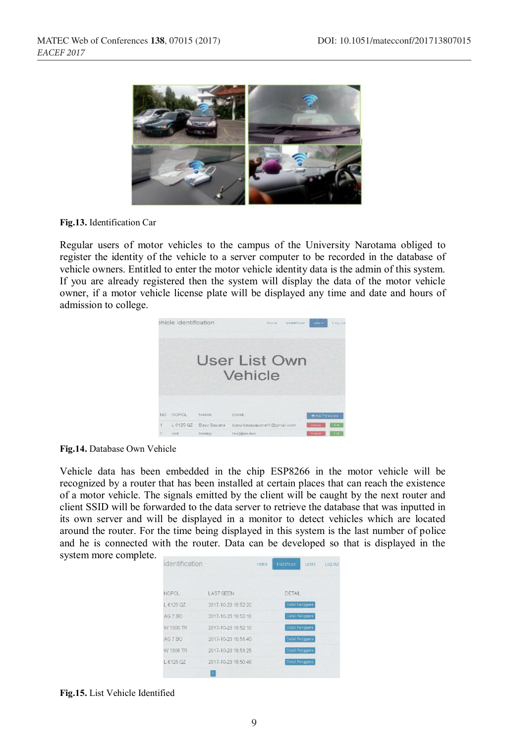

**Fig.13.** Identification Car

Regular users of motor vehicles to the campus of the University Narotama obliged to register the identity of the vehicle to a server computer to be recorded in the database of vehicle owners. Entitled to enter the motor vehicle identity data is the admin of this system. If you are already registered then the system will display the data of the motor vehicle owner, if a motor vehicle license plate will be displayed any time and date and hours of admission to college.



**Fig.14.** Database Own Vehicle

Vehicle data has been embedded in the chip ESP8266 in the motor vehicle will be recognized by a router that has been installed at certain places that can reach the existence of a motor vehicle. The signals emitted by the client will be caught by the next router and client SSID will be forwarded to the data server to retrieve the database that was inputted in its own server and will be displayed in a monitor to detect vehicles which are located around the router. For the time being displayed in this system is the last number of police and he is connected with the router. Data can be developed so that is displayed in the system more complete.

| identification |                     | Home. | <b>Indetinkası</b> | users | Log out |
|----------------|---------------------|-------|--------------------|-------|---------|
| <b>NOPOL</b>   | <b>LAST SEEN</b>    |       | DETAIL             |       |         |
| 6125.07        | 2017-10-23 16:52:20 |       | Detail Fenoquna    |       |         |
| AG 7 BO        | 2017-10-23 16:52:16 |       | Detail Pengguna    |       |         |
| W 1306 TR      | 2017-10-23 16:52 10 |       | Detail Pengguna    |       |         |
| AG 7 BO        | 2017-10-23 16:51:40 |       | Detail Pengguna    |       |         |
| W 1306 TR      | 2017-10-23 16:51:25 |       | Detail Pengguna    |       |         |
| L 6125 QZ      | 2017-10-23 16:50:46 |       | Detail Pengguna    |       |         |
|                |                     |       |                    |       |         |

**Fig.15.** List Vehicle Identified